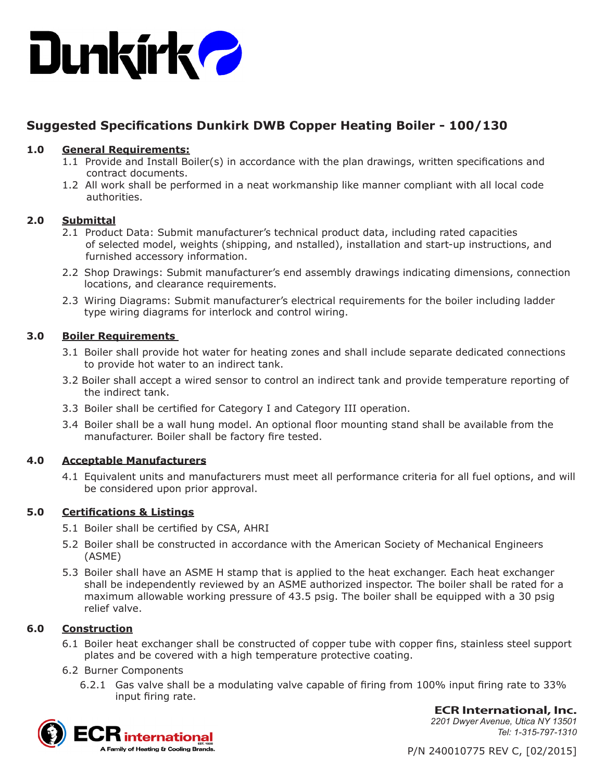

# **Suggested Specifications Dunkirk DWB Copper Heating Boiler - 100/130**

# **1.0 General Requirements:**

- 1.1 Provide and Install Boiler(s) in accordance with the plan drawings, written specifications and contract documents.
- 1.2 All work shall be performed in a neat workmanship like manner compliant with all local code authorities.

# **2.0 Submittal**

- 2.1 Product Data: Submit manufacturer's technical product data, including rated capacities of selected model, weights (shipping, and nstalled), installation and start-up instructions, and furnished accessory information.
- 2.2 Shop Drawings: Submit manufacturer's end assembly drawings indicating dimensions, connection locations, and clearance requirements.
- 2.3 Wiring Diagrams: Submit manufacturer's electrical requirements for the boiler including ladder type wiring diagrams for interlock and control wiring.

# **3.0 Boiler Requirements**

- 3.1 Boiler shall provide hot water for heating zones and shall include separate dedicated connections to provide hot water to an indirect tank.
- 3.2 Boiler shall accept a wired sensor to control an indirect tank and provide temperature reporting of the indirect tank.
- 3.3 Boiler shall be certified for Category I and Category III operation.
- 3.4 Boiler shall be a wall hung model. An optional floor mounting stand shall be available from the manufacturer. Boiler shall be factory fire tested.

# **4.0 Acceptable Manufacturers**

4.1 Equivalent units and manufacturers must meet all performance criteria for all fuel options, and will be considered upon prior approval.

# **5.0 Certifications & Listings**

- 5.1 Boiler shall be certified by CSA, AHRI
- 5.2 Boiler shall be constructed in accordance with the American Society of Mechanical Engineers (ASME)
- 5.3 Boiler shall have an ASME H stamp that is applied to the heat exchanger. Each heat exchanger shall be independently reviewed by an ASME authorized inspector. The boiler shall be rated for a maximum allowable working pressure of 43.5 psig. The boiler shall be equipped with a 30 psig relief valve.

# **6.0 Construction**

- 6.1 Boiler heat exchanger shall be constructed of copper tube with copper fins, stainless steel support plates and be covered with a high temperature protective coating.
- 6.2 Burner Components
	- 6.2.1 Gas valve shall be a modulating valve capable of firing from 100% input firing rate to 33% input firing rate.



**ECR International, Inc.** *2201 Dwyer Avenue, Utica NY 13501 Tel: 1-315-797-1310*

P/N 240010775 REV C, [02/2015]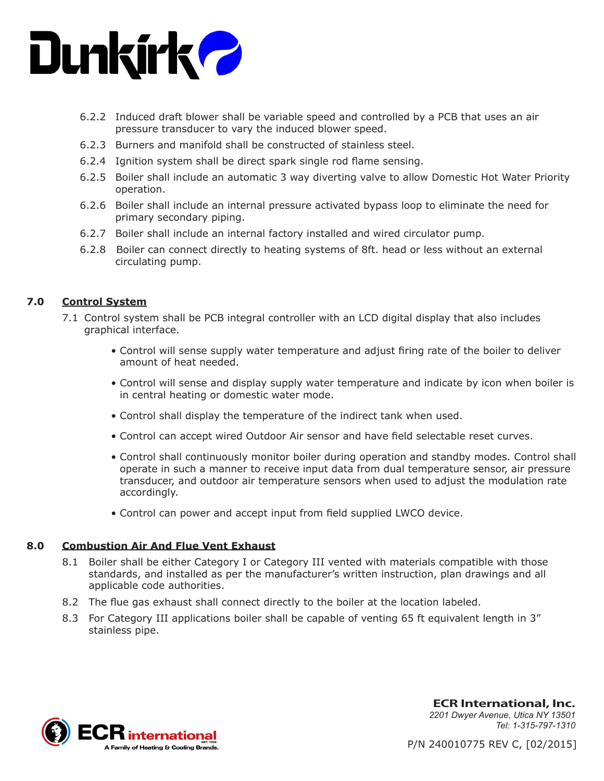

- 6.2.2 Induced draft blower shall be variable speed and controlled by a PCB that uses an air pressure transducer to vary the induced blower speed.
- 6.2.3 Burners and manifold shall be constructed of stainless steel.
- 6.2.4 Ignition system shall be direct spark single rod flame sensing.
- 6.2.5 Boiler shall include an automatic 3 way diverting valve to allow Domestic Hot Water Priority operation.
- 6.2.6 Boiler shall include an internal pressure activated bypass loop to eliminate the need for primary secondary piping.
- 6.2.7 Boiler shall include an internal factory installed and wired circulator pump.
- 6.2.8 Boiler can connect directly to heating systems of 8ft. head or less without an external circulating pump.

# **7.0 Control System**

- 7.1 Control system shall be PCB integral controller with an LCD digital display that also includes graphical interface.
	- Control will sense supply water temperature and adjust firing rate of the boiler to deliver amount of heat needed.
	- Control will sense and display supply water temperature and indicate by icon when boiler is in central heating or domestic water mode.
	- Control shall display the temperature of the indirect tank when used.
	- Control can accept wired Outdoor Air sensor and have field selectable reset curves.
	- Control shall continuously monitor boiler during operation and standby modes. Control shall operate in such a manner to receive input data from dual temperature sensor, air pressure transducer, and outdoor air temperature sensors when used to adjust the modulation rate accordingly.
	- Control can power and accept input from field supplied LWCO device.

#### **8.0 Combustion Air And Flue Vent Exhaust**

- 8.1 Boiler shall be either Category I or Category III vented with materials compatible with those standards, and installed as per the manufacturer's written instruction, plan drawings and all applicable code authorities.
- 8.2 The flue gas exhaust shall connect directly to the boiler at the location labeled.
- 8.3 For Category III applications boiler shall be capable of venting 65 ft equivalent length in 3" stainless pipe.



**ECR International, Inc.** *2201 Dwyer Avenue, Utica NY 13501 Tel: 1-315-797-1310*

P/N 240010775 REV C, [02/2015]